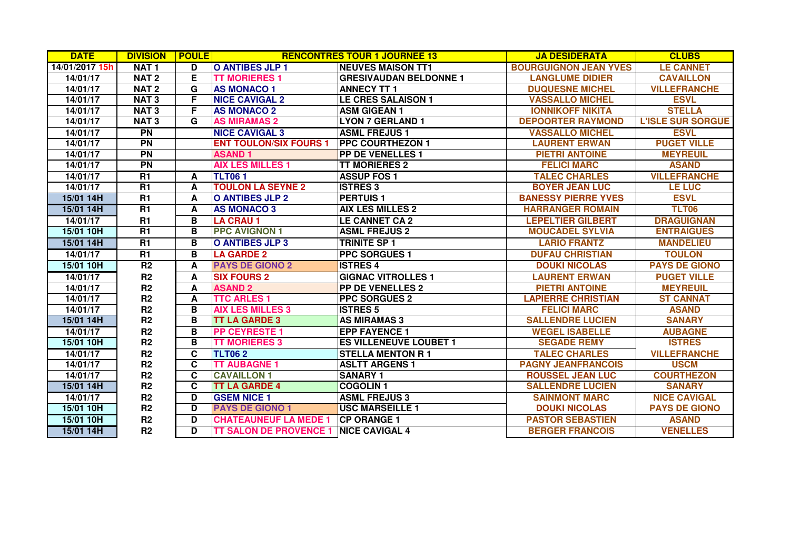| <b>DATE</b>    | <b>DIVISION</b>  | <b>POULE</b> |                               | <b>RENCONTRES TOUR 1 JOURNEE 13</b> | <b>JA DESIDERATA</b>         | <b>CLUBS</b>             |
|----------------|------------------|--------------|-------------------------------|-------------------------------------|------------------------------|--------------------------|
| 14/01/2017 15h | NAT <sub>1</sub> | D            | <b>O ANTIBES JLP 1</b>        | <b>NEUVES MAISON TT1</b>            | <b>BOURGUIGNON JEAN YVES</b> | <b>LE CANNET</b>         |
| 14/01/17       | NAT <sub>2</sub> | Е            | <b>TT MORIERES 1</b>          | <b>GRESIVAUDAN BELDONNE 1</b>       | <b>LANGLUME DIDIER</b>       | <b>CAVAILLON</b>         |
| 14/01/17       | NAT <sub>2</sub> | G            | <b>AS MONACO 1</b>            | <b>ANNECY TT 1</b>                  | <b>DUQUESNE MICHEL</b>       | <b>VILLEFRANCHE</b>      |
| 14/01/17       | <b>NAT3</b>      | F            | <b>NICE CAVIGAL 2</b>         | <b>LE CRES SALAISON 1</b>           | <b>VASSALLO MICHEL</b>       | <b>ESVL</b>              |
| 14/01/17       | <b>NAT3</b>      | F            | <b>AS MONACO 2</b>            | <b>ASM GIGEAN 1</b>                 | <b>IONNIKOFF NIKITA</b>      | <b>STELLA</b>            |
| 14/01/17       | <b>NAT3</b>      | G            | <b>AS MIRAMAS 2</b>           | <b>LYON 7 GERLAND 1</b>             | <b>DEPOORTER RAYMOND</b>     | <b>L'ISLE SUR SORGUE</b> |
| 14/01/17       | <b>PN</b>        |              | <b>NICE CAVIGAL 3</b>         | <b>ASML FREJUS1</b>                 | <b>VASSALLO MICHEL</b>       | <b>ESVL</b>              |
| 14/01/17       | <b>PN</b>        |              | <b>ENT TOULON/SIX FOURS 1</b> | <b>PPC COURTHEZON 1</b>             | <b>LAURENT ERWAN</b>         | <b>PUGET VILLE</b>       |
| 14/01/17       | $\overline{PN}$  |              | <b>ASAND1</b>                 | <b>PP DE VENELLES 1</b>             | <b>PIETRI ANTOINE</b>        | <b>MEYREUIL</b>          |
| 14/01/17       | <b>PN</b>        |              | <b>AIX LES MILLES 1</b>       | <b>TT MORIERES 2</b>                | <b>FELICI MARC</b>           | <b>ASAND</b>             |
| 14/01/17       | $\overline{R1}$  | A            | <b>TLT061</b>                 | <b>ASSUP FOS 1</b>                  | <b>TALEC CHARLES</b>         | <b>VILLEFRANCHE</b>      |
| 14/01/17       | $\overline{R1}$  | A            | <b>TOULON LA SEYNE 2</b>      | <b>ISTRES 3</b>                     | <b>BOYER JEAN LUC</b>        | <b>LE LUC</b>            |
| 15/01 14H      | R1               | A            | O ANTIBES JLP 2               | <b>PERTUIS1</b>                     | <b>BANESSY PIERRE YVES</b>   | <b>ESVL</b>              |
| 15/01 14H      | $\overline{R1}$  | A            | <b>AS MONACO 3</b>            | <b>AIX LES MILLES 2</b>             | <b>HARRANGER ROMAIN</b>      | <b>TLT06</b>             |
| 14/01/17       | R1               | В            | <b>LA CRAU 1</b>              | <b>LE CANNET CA 2</b>               | <b>LEPELTIER GILBERT</b>     | <b>DRAGUIGNAN</b>        |
| 15/01 10H      | $\overline{R1}$  | B            | <b>PPC AVIGNON 1</b>          | <b>ASML FREJUS 2</b>                | <b>MOUCADEL SYLVIA</b>       | <b>ENTRAIGUES</b>        |
| 15/01 14H      | $\overline{R1}$  | В            | O ANTIBES JLP 3               | <b>TRINITE SP 1</b>                 | <b>LARIO FRANTZ</b>          | <b>MANDELIEU</b>         |
| 14/01/17       | R1               | B            | <b>LA GARDE 2</b>             | <b>PPC SORGUES 1</b>                | <b>DUFAU CHRISTIAN</b>       | <b>TOULON</b>            |
| 15/01 10H      | R <sub>2</sub>   | A            | <b>PAYS DE GIONO 2</b>        | <b>ISTRES 4</b>                     | <b>DOUKI NICOLAS</b>         | <b>PAYS DE GIONO</b>     |
| 14/01/17       | R2               | A            | <b>SIX FOURS 2</b>            | <b>GIGNAC VITROLLES 1</b>           | <b>LAURENT ERWAN</b>         | <b>PUGET VILLE</b>       |
| 14/01/17       | R <sub>2</sub>   | A            | <b>ASAND 2</b>                | <b>PP DE VENELLES 2</b>             | <b>PIETRI ANTOINE</b>        | <b>MEYREUIL</b>          |
| 14/01/17       | R <sub>2</sub>   | A            | <b>TTC ARLES 1</b>            | <b>PPC SORGUES 2</b>                | <b>LAPIERRE CHRISTIAN</b>    | <b>ST CANNAT</b>         |
| 14/01/17       | R <sub>2</sub>   | B            | <b>AIX LES MILLES 3</b>       | <b>ISTRES 5</b>                     | <b>FELICI MARC</b>           | <b>ASAND</b>             |
| 15/01 14H      | R <sub>2</sub>   | B            | <b>TT LA GARDE 3</b>          | <b>AS MIRAMAS 3</b>                 | <b>SALLENDRE LUCIEN</b>      | <b>SANARY</b>            |
| 14/01/17       | R2               | в            | <b>PP CEYRESTE 1</b>          | <b>EPP FAYENCE 1</b>                | <b>WEGEL ISABELLE</b>        | <b>AUBAGNE</b>           |
| 15/01 10H      | R <sub>2</sub>   | В            | <b>TT MORIERES 3</b>          | <b>ES VILLENEUVE LOUBET 1</b>       | <b>SEGADE REMY</b>           | <b>ISTRES</b>            |
| 14/01/17       | R <sub>2</sub>   | C            | <b>TLT062</b>                 | <b>STELLA MENTON R1</b>             | <b>TALEC CHARLES</b>         | <b>VILLEFRANCHE</b>      |
| 14/01/17       | R2               | C            | <b>TT AUBAGNE 1</b>           | <b>ASLTT ARGENS 1</b>               | <b>PAGNY JEANFRANCOIS</b>    | <b>USCM</b>              |
| 14/01/17       | R <sub>2</sub>   | C            | <b>CAVAILLON 1</b>            | <b>SANARY 1</b>                     | <b>ROUSSEL JEAN LUC</b>      | <b>COURTHEZON</b>        |
| 15/01 14H      | R <sub>2</sub>   | C            | <b>TT LA GARDE 4</b>          | <b>COGOLIN1</b>                     | <b>SALLENDRE LUCIEN</b>      | <b>SANARY</b>            |
| 14/01/17       | R <sub>2</sub>   | D            | <b>GSEM NICE 1</b>            | <b>ASML FREJUS 3</b>                | <b>SAINMONT MARC</b>         | <b>NICE CAVIGAL</b>      |
| 15/01 10H      | R <sub>2</sub>   | D            | <b>PAYS DE GIONO 1</b>        | <b>USC MARSEILLE 1</b>              | <b>DOUKI NICOLAS</b>         | <b>PAYS DE GIONO</b>     |
| 15/01 10H      | R <sub>2</sub>   | D            | <b>CHATEAUNEUF LA MEDE 1</b>  | <b>CP ORANGE 1</b>                  | <b>PASTOR SEBASTIEN</b>      | <b>ASAND</b>             |
| 15/01 14H      | R <sub>2</sub>   | D            | <b>TT SALON DE PROVENCE 1</b> | <b>NICE CAVIGAL 4</b>               | <b>BERGER FRANCOIS</b>       | <b>VENELLES</b>          |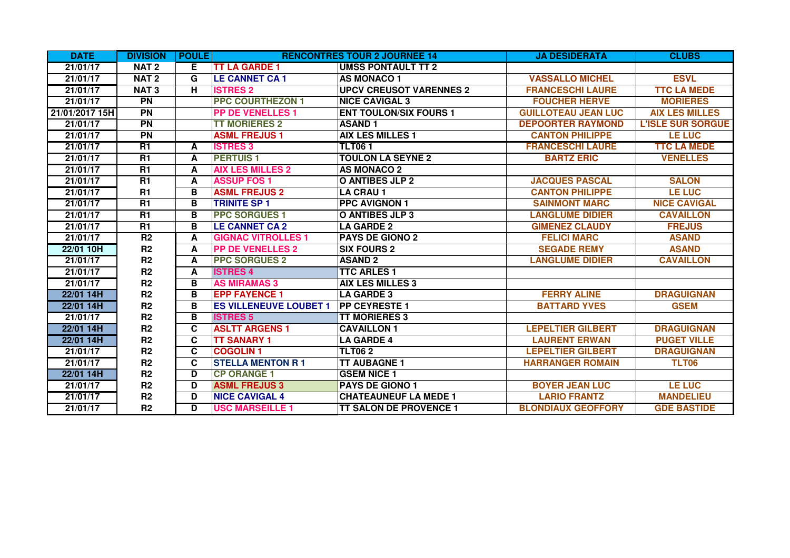| <b>DATE</b>    | <b>DIVISION</b>  | <b>POULE</b> |                               | <b>RENCONTRES TOUR 2 JOURNEE 14</b> | <b>JA DESIDERATA</b>       | <b>CLUBS</b>             |
|----------------|------------------|--------------|-------------------------------|-------------------------------------|----------------------------|--------------------------|
| 21/01/17       | <b>NAT2</b>      | E.           | <b>TT LA GARDE 1</b>          | <b>UMSS PONTAULT TT 2</b>           |                            |                          |
| 21/01/17       | <b>NAT2</b>      | G            | <b>LE CANNET CA 1</b>         | <b>AS MONACO 1</b>                  | <b>VASSALLO MICHEL</b>     | <b>ESVL</b>              |
| 21/01/17       | NAT <sub>3</sub> | н            | <b>ISTRES 2</b>               | <b>UPCV CREUSOT VARENNES 2</b>      | <b>FRANCESCHI LAURE</b>    | <b>TTC LA MEDE</b>       |
| 21/01/17       | <b>PN</b>        |              | <b>PPC COURTHEZON 1</b>       | <b>NICE CAVIGAL 3</b>               | <b>FOUCHER HERVE</b>       | <b>MORIERES</b>          |
| 21/01/2017 15H | <b>PN</b>        |              | <b>PP DE VENELLES 1</b>       | <b>ENT TOULON/SIX FOURS 1</b>       | <b>GUILLOTEAU JEAN LUC</b> | <b>AIX LES MILLES</b>    |
| 21/01/17       | $\overline{PN}$  |              | <b>TT MORIERES 2</b>          | <b>ASAND1</b>                       | <b>DEPOORTER RAYMOND</b>   | <b>L'ISLE SUR SORGUE</b> |
| 21/01/17       | $\overline{PN}$  |              | <b>ASML FREJUS1</b>           | <b>AIX LES MILLES 1</b>             | <b>CANTON PHILIPPE</b>     | <b>LE LUC</b>            |
| 21/01/17       | <b>R1</b>        | A            | <b>ISTRES 3</b>               | <b>TLT061</b>                       | <b>FRANCESCHI LAURE</b>    | <b>TTC LA MEDE</b>       |
| 21/01/17       | <b>R1</b>        | A            | <b>PERTUIS1</b>               | <b>TOULON LA SEYNE 2</b>            | <b>BARTZ ERIC</b>          | <b>VENELLES</b>          |
| 21/01/17       | R1               | A            | <b>AIX LES MILLES 2</b>       | <b>AS MONACO 2</b>                  |                            |                          |
| 21/01/17       | R1               | A            | <b>ASSUP FOS 1</b>            | <b>O ANTIBES JLP 2</b>              | <b>JACQUES PASCAL</b>      | <b>SALON</b>             |
| 21/01/17       | <b>R1</b>        | в            | <b>ASML FREJUS 2</b>          | <b>LA CRAU 1</b>                    | <b>CANTON PHILIPPE</b>     | <b>LE LUC</b>            |
| 21/01/17       | $\overline{R1}$  | B            | <b>TRINITE SP 1</b>           | <b>PPC AVIGNON 1</b>                | <b>SAINMONT MARC</b>       | <b>NICE CAVIGAL</b>      |
| 21/01/17       | R1               | В            | <b>PPC SORGUES 1</b>          | <b>O ANTIBES JLP 3</b>              | <b>LANGLUME DIDIER</b>     | <b>CAVAILLON</b>         |
| 21/01/17       | <b>R1</b>        | в            | <b>LE CANNET CA 2</b>         | <b>LA GARDE 2</b>                   | <b>GIMENEZ CLAUDY</b>      | <b>FREJUS</b>            |
| 21/01/17       | R <sub>2</sub>   | A            | <b>GIGNAC VITROLLES 1</b>     | <b>PAYS DE GIONO 2</b>              | <b>FELICI MARC</b>         | <b>ASAND</b>             |
| 22/01 10H      | R <sub>2</sub>   | A            | <b>PP DE VENELLES 2</b>       | <b>SIX FOURS 2</b>                  | <b>SEGADE REMY</b>         | <b>ASAND</b>             |
| 21/01/17       | R <sub>2</sub>   | A            | <b>PPC SORGUES 2</b>          | <b>ASAND 2</b>                      | <b>LANGLUME DIDIER</b>     | <b>CAVAILLON</b>         |
| 21/01/17       | R <sub>2</sub>   | A            | <b>ISTRES 4</b>               | <b>TTC ARLES 1</b>                  |                            |                          |
| 21/01/17       | R <sub>2</sub>   | в            | <b>AS MIRAMAS 3</b>           | <b>AIX LES MILLES 3</b>             |                            |                          |
| 22/01 14H      | R <sub>2</sub>   | B            | <b>EPP FAYENCE 1</b>          | <b>LA GARDE 3</b>                   | <b>FERRY ALINE</b>         | <b>DRAGUIGNAN</b>        |
| 22/01 14H      | R2               | в            | <b>ES VILLENEUVE LOUBET 1</b> | <b>PP CEYRESTE 1</b>                | <b>BATTARD YVES</b>        | <b>GSEM</b>              |
| 21/01/17       | R <sub>2</sub>   | в            | <b>ISTRES 5</b>               | <b>TT MORIERES 3</b>                |                            |                          |
| 22/01 14H      | R <sub>2</sub>   | C            | <b>ASLTT ARGENS 1</b>         | <b>CAVAILLON1</b>                   | <b>LEPELTIER GILBERT</b>   | <b>DRAGUIGNAN</b>        |
| 22/01 14H      | R <sub>2</sub>   | C            | <b>TT SANARY 1</b>            | <b>LA GARDE 4</b>                   | <b>LAURENT ERWAN</b>       | <b>PUGET VILLE</b>       |
| 21/01/17       | R2               | C            | <b>COGOLIN1</b>               | <b>TLT062</b>                       | <b>LEPELTIER GILBERT</b>   | <b>DRAGUIGNAN</b>        |
| 21/01/17       | R <sub>2</sub>   | C            | <b>STELLA MENTON R1</b>       | <b>TT AUBAGNE 1</b>                 | <b>HARRANGER ROMAIN</b>    | <b>TLT06</b>             |
| 22/01 14H      | R <sub>2</sub>   | D            | <b>CP ORANGE 1</b>            | <b>GSEM NICE 1</b>                  |                            |                          |
| 21/01/17       | R <sub>2</sub>   | D            | <b>ASML FREJUS 3</b>          | PAYS DE GIONO 1                     | <b>BOYER JEAN LUC</b>      | <b>LE LUC</b>            |
| 21/01/17       | R2               | D            | <b>NICE CAVIGAL 4</b>         | <b>CHATEAUNEUF LA MEDE 1</b>        | <b>LARIO FRANTZ</b>        | <b>MANDELIEU</b>         |
| 21/01/17       | R <sub>2</sub>   | D.           | <b>USC MARSEILLE 1</b>        | <b>TT SALON DE PROVENCE 1</b>       | <b>BLONDIAUX GEOFFORY</b>  | <b>GDE BASTIDE</b>       |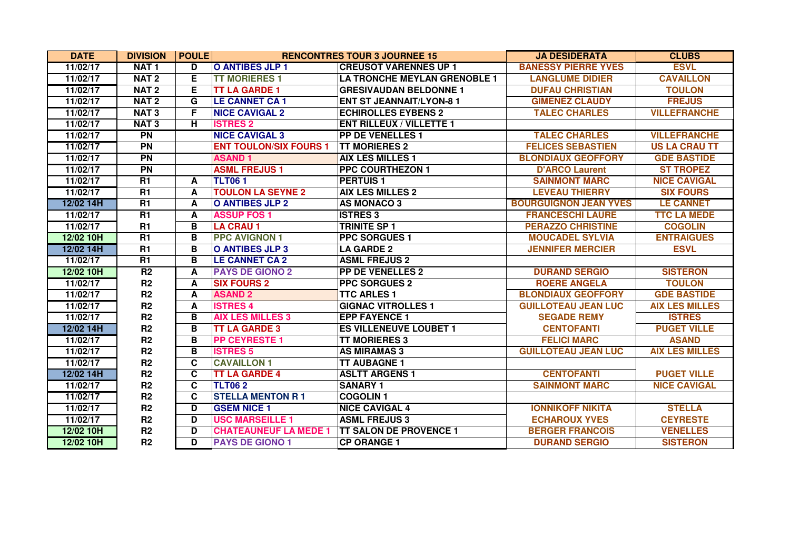| <b>DATE</b> | <b>DIVISION</b>  | <b>POULE</b> |                               | <b>RENCONTRES TOUR 3 JOURNEE 15</b> | <b>JA DESIDERATA</b>         | <b>CLUBS</b>          |
|-------------|------------------|--------------|-------------------------------|-------------------------------------|------------------------------|-----------------------|
| 11/02/17    | NAT <sub>1</sub> | D            | <b>O ANTIBES JLP 1</b>        | <b>CREUSOT VARENNES UP 1</b>        | <b>BANESSY PIERRE YVES</b>   | <b>ESVL</b>           |
| 11/02/17    | <b>NAT2</b>      | Е            | <b>TT MORIERES 1</b>          | <b>LA TRONCHE MEYLAN GRENOBLE 1</b> | <b>LANGLUME DIDIER</b>       | <b>CAVAILLON</b>      |
| 11/02/17    | NAT <sub>2</sub> | E.           | <b>TT LA GARDE 1</b>          | <b>GRESIVAUDAN BELDONNE 1</b>       | <b>DUFAU CHRISTIAN</b>       | <b>TOULON</b>         |
| 11/02/17    | NAT <sub>2</sub> | G            | <b>LE CANNET CA1</b>          | <b>ENT ST JEANNAIT/LYON-8 1</b>     | <b>GIMENEZ CLAUDY</b>        | <b>FREJUS</b>         |
| 11/02/17    | <b>NAT3</b>      | F.           | <b>NICE CAVIGAL 2</b>         | <b>ECHIROLLES EYBENS 2</b>          | <b>TALEC CHARLES</b>         | <b>VILLEFRANCHE</b>   |
| 11/02/17    | <b>NAT3</b>      | Н.           | <b>ISTRES 2</b>               | <b>ENT RILLEUX / VILLETTE 1</b>     |                              |                       |
| 11/02/17    | <b>PN</b>        |              | <b>NICE CAVIGAL 3</b>         | <b>PP DE VENELLES 1</b>             | <b>TALEC CHARLES</b>         | <b>VILLEFRANCHE</b>   |
| 11/02/17    | <b>PN</b>        |              | <b>ENT TOULON/SIX FOURS 1</b> | <b>TT MORIERES 2</b>                | <b>FELICES SEBASTIEN</b>     | <b>US LA CRAU TT</b>  |
| 11/02/17    | $\overline{PN}$  |              | <b>ASAND1</b>                 | <b>AIX LES MILLES 1</b>             | <b>BLONDIAUX GEOFFORY</b>    | <b>GDE BASTIDE</b>    |
| 11/02/17    | <b>PN</b>        |              | <b>ASML FREJUS1</b>           | <b>PPC COURTHEZON 1</b>             | <b>D'ARCO Laurent</b>        | <b>ST TROPEZ</b>      |
| 11/02/17    | R1               | A            | <b>TLT061</b>                 | <b>PERTUIS 1</b>                    | <b>SAINMONT MARC</b>         | <b>NICE CAVIGAL</b>   |
| 11/02/17    | R1               | A            | <b>TOULON LA SEYNE 2</b>      | <b>AIX LES MILLES 2</b>             | <b>LEVEAU THIERRY</b>        | <b>SIX FOURS</b>      |
| 12/02 14H   | R1               | A            | <b>O ANTIBES JLP 2</b>        | <b>AS MONACO 3</b>                  | <b>BOURGUIGNON JEAN YVES</b> | <b>LE CANNET</b>      |
| 11/02/17    | <b>R1</b>        | A            | <b>ASSUP FOS 1</b>            | <b>ISTRES 3</b>                     | <b>FRANCESCHI LAURE</b>      | <b>TTC LA MEDE</b>    |
| 11/02/17    | R1               | В            | <b>LA CRAU 1</b>              | <b>TRINITE SP 1</b>                 | <b>PERAZZO CHRISTINE</b>     | <b>COGOLIN</b>        |
| 12/02 10H   | R1               | B            | <b>PPC AVIGNON 1</b>          | <b>PPC SORGUES 1</b>                | <b>MOUCADEL SYLVIA</b>       | <b>ENTRAIGUES</b>     |
| 12/02 14H   | $\overline{R1}$  | B            | <b>O ANTIBES JLP 3</b>        | <b>LA GARDE 2</b>                   | <b>JENNIFER MERCIER</b>      | <b>ESVL</b>           |
| 11/02/17    | R1               | В            | <b>LE CANNET CA 2</b>         | <b>ASML FREJUS 2</b>                |                              |                       |
| 12/02 10H   | R <sub>2</sub>   | A            | <b>PAYS DE GIONO 2</b>        | <b>PP DE VENELLES 2</b>             | <b>DURAND SERGIO</b>         | <b>SISTERON</b>       |
| 11/02/17    | R2               | A            | <b>SIX FOURS 2</b>            | <b>PPC SORGUES 2</b>                | <b>ROERE ANGELA</b>          | <b>TOULON</b>         |
| 11/02/17    | R <sub>2</sub>   | A            | <b>ASAND 2</b>                | <b>TTC ARLES 1</b>                  | <b>BLONDIAUX GEOFFORY</b>    | <b>GDE BASTIDE</b>    |
| 11/02/17    | R <sub>2</sub>   | A            | <b>ISTRES 4</b>               | <b>GIGNAC VITROLLES 1</b>           | <b>GUILLOTEAU JEAN LUC</b>   | <b>AIX LES MILLES</b> |
| 11/02/17    | R <sub>2</sub>   | в            | <b>AIX LES MILLES 3</b>       | <b>EPP FAYENCE 1</b>                | <b>SEGADE REMY</b>           | <b>ISTRES</b>         |
| 12/02 14H   | R <sub>2</sub>   | в            | <b>TT LA GARDE 3</b>          | <b>ES VILLENEUVE LOUBET 1</b>       | <b>CENTOFANTI</b>            | <b>PUGET VILLE</b>    |
| 11/02/17    | R <sub>2</sub>   | В            | <b>PP CEYRESTE 1</b>          | <b>TT MORIERES 3</b>                | <b>FELICI MARC</b>           | <b>ASAND</b>          |
| 11/02/17    | R2               | В            | <b>ISTRES 5</b>               | <b>AS MIRAMAS 3</b>                 | <b>GUILLOTEAU JEAN LUC</b>   | <b>AIX LES MILLES</b> |
| 11/02/17    | R <sub>2</sub>   | C            | <b>CAVAILLON 1</b>            | <b>TT AUBAGNE 1</b>                 |                              |                       |
| 12/02 14H   | R <sub>2</sub>   | C            | <b>TT LA GARDE 4</b>          | <b>ASLTT ARGENS 1</b>               | <b>CENTOFANTI</b>            | <b>PUGET VILLE</b>    |
| 11/02/17    | R <sub>2</sub>   | C.           | <b>TLT062</b>                 | <b>SANARY 1</b>                     | <b>SAINMONT MARC</b>         | <b>NICE CAVIGAL</b>   |
| 11/02/17    | R <sub>2</sub>   | C.           | <b>STELLA MENTON R1</b>       | <b>COGOLIN1</b>                     |                              |                       |
| 11/02/17    | R <sub>2</sub>   | D            | <b>GSEM NICE 1</b>            | <b>NICE CAVIGAL 4</b>               | <b>IONNIKOFF NIKITA</b>      | <b>STELLA</b>         |
| 11/02/17    | R <sub>2</sub>   | D            | <b>USC MARSEILLE 1</b>        | <b>ASML FREJUS 3</b>                | <b>ECHAROUX YVES</b>         | <b>CEYRESTE</b>       |
| 12/02 10H   | R <sub>2</sub>   | D            | <b>CHATEAUNEUF LA MEDE 1</b>  | <b>ITT SALON DE PROVENCE 1</b>      | <b>BERGER FRANCOIS</b>       | <b>VENELLES</b>       |
| 12/02 10H   | R <sub>2</sub>   | D            | <b>PAYS DE GIONO 1</b>        | <b>CP ORANGE 1</b>                  | <b>DURAND SERGIO</b>         | <b>SISTERON</b>       |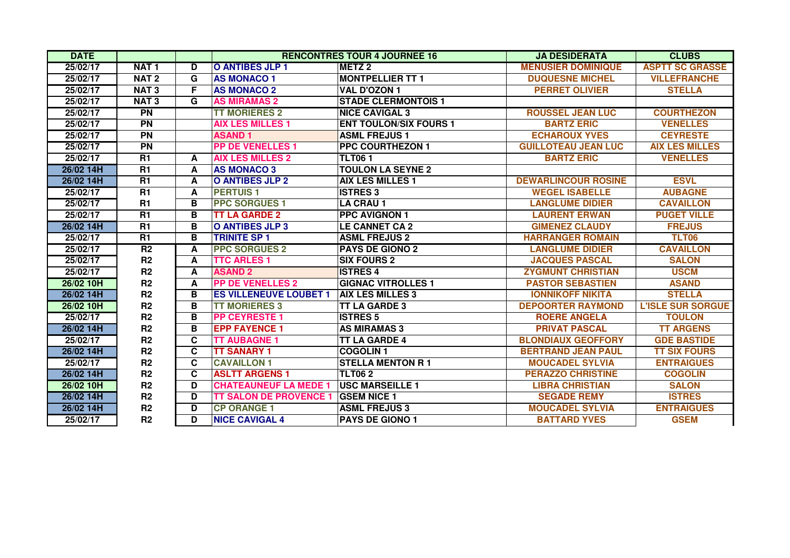| <b>DATE</b> |                  |    |                               | <b>RENCONTRES TOUR 4 JOURNEE 16</b> | <b>JA DESIDERATA</b>       | <b>CLUBS</b>             |
|-------------|------------------|----|-------------------------------|-------------------------------------|----------------------------|--------------------------|
| 25/02/17    | <b>NAT1</b>      | D  | O ANTIBES JLP 1               | <b>METZ2</b>                        | <b>MENUSIER DOMINIQUE</b>  | <b>ASPTT SC GRASSE</b>   |
| 25/02/17    | <b>NAT2</b>      | G  | <b>AS MONACO 1</b>            | <b>MONTPELLIER TT 1</b>             | <b>DUQUESNE MICHEL</b>     | <b>VILLEFRANCHE</b>      |
| 25/02/17    | NAT <sub>3</sub> | F  | <b>AS MONACO 2</b>            | <b>VAL D'OZON 1</b>                 | <b>PERRET OLIVIER</b>      | <b>STELLA</b>            |
| 25/02/17    | <b>NAT3</b>      | G  | <b>AS MIRAMAS 2</b>           | <b>STADE CLERMONTOIS 1</b>          |                            |                          |
| 25/02/17    | $\overline{PN}$  |    | <b>TT MORIERES 2</b>          | <b>NICE CAVIGAL 3</b>               | <b>ROUSSEL JEAN LUC</b>    | <b>COURTHEZON</b>        |
| 25/02/17    | $\overline{PN}$  |    | <b>AIX LES MILLES 1</b>       | <b>ENT TOULON/SIX FOURS 1</b>       | <b>BARTZ ERIC</b>          | <b>VENELLES</b>          |
| 25/02/17    | $\overline{PN}$  |    | <b>ASAND1</b>                 | <b>ASML FREJUS1</b>                 | <b>ECHAROUX YVES</b>       | <b>CEYRESTE</b>          |
| 25/02/17    | $\overline{PN}$  |    | <b>PP DE VENELLES 1</b>       | <b>PPC COURTHEZON 1</b>             | <b>GUILLOTEAU JEAN LUC</b> | <b>AIX LES MILLES</b>    |
| 25/02/17    | <b>R1</b>        | A  | <b>AIX LES MILLES 2</b>       | <b>TLT061</b>                       | <b>BARTZ ERIC</b>          | <b>VENELLES</b>          |
| 26/02 14H   | R1               | A  | <b>AS MONACO 3</b>            | <b>TOULON LA SEYNE 2</b>            |                            |                          |
| 26/02 14H   | <b>R1</b>        | A  | O ANTIBES JLP 2               | <b>AIX LES MILLES 1</b>             | <b>DEWARLINCOUR ROSINE</b> | <b>ESVL</b>              |
| 25/02/17    | R1               | A  | <b>PERTUIS1</b>               | <b>ISTRES 3</b>                     | <b>WEGEL ISABELLE</b>      | <b>AUBAGNE</b>           |
| 25/02/17    | <b>R1</b>        | B  | <b>PPC SORGUES 1</b>          | <b>LA CRAU 1</b>                    | <b>LANGLUME DIDIER</b>     | <b>CAVAILLON</b>         |
| 25/02/17    | $\overline{R1}$  | B  | <b>TT LA GARDE 2</b>          | <b>PPC AVIGNON 1</b>                | <b>LAURENT ERWAN</b>       | <b>PUGET VILLE</b>       |
| 26/02 14H   | $\overline{R1}$  | B  | O ANTIBES JLP 3               | <b>LE CANNET CA 2</b>               | <b>GIMENEZ CLAUDY</b>      | <b>FREJUS</b>            |
| 25/02/17    | $\overline{R1}$  | B  | <b>TRINITE SP 1</b>           | <b>ASML FREJUS 2</b>                | <b>HARRANGER ROMAIN</b>    | <b>TLT06</b>             |
| 25/02/17    | R <sub>2</sub>   | A  | <b>PPC SORGUES 2</b>          | <b>PAYS DE GIONO 2</b>              | <b>LANGLUME DIDIER</b>     | <b>CAVAILLON</b>         |
| 25/02/17    | R2               | A  | <b>TTC ARLES 1</b>            | <b>SIX FOURS 2</b>                  | <b>JACQUES PASCAL</b>      | <b>SALON</b>             |
| 25/02/17    | R2               | A  | <b>ASAND 2</b>                | <b>ISTRES 4</b>                     | <b>ZYGMUNT CHRISTIAN</b>   | <b>USCM</b>              |
| 26/02 10H   | R2               | A  | <b>PP DE VENELLES 2</b>       | <b>GIGNAC VITROLLES 1</b>           | <b>PASTOR SEBASTIEN</b>    | <b>ASAND</b>             |
| 26/02 14H   | R2               | B  | <b>ES VILLENEUVE LOUBET 1</b> | <b>AIX LES MILLES 3</b>             | <b>IONNIKOFF NIKITA</b>    | <b>STELLA</b>            |
| 26/02 10H   | R <sub>2</sub>   | B  | <b>TT MORIERES 3</b>          | <b>TT LA GARDE 3</b>                | <b>DEPOORTER RAYMOND</b>   | <b>L'ISLE SUR SORGUE</b> |
| 25/02/17    | R <sub>2</sub>   | в  | <b>PP CEYRESTE 1</b>          | <b>ISTRES 5</b>                     | <b>ROERE ANGELA</b>        | <b>TOULON</b>            |
| 26/02 14H   | R2               | B  | <b>EPP FAYENCE 1</b>          | <b>AS MIRAMAS 3</b>                 | <b>PRIVAT PASCAL</b>       | <b>TT ARGENS</b>         |
| 25/02/17    | R <sub>2</sub>   | C. | <b>TT AUBAGNE 1</b>           | <b>TT LA GARDE 4</b>                | <b>BLONDIAUX GEOFFORY</b>  | <b>GDE BASTIDE</b>       |
| 26/02 14H   | R2               | C. | <b>TT SANARY 1</b>            | <b>COGOLIN1</b>                     | <b>BERTRAND JEAN PAUL</b>  | <b>TT SIX FOURS</b>      |
| 25/02/17    | R <sub>2</sub>   | C  | <b>CAVAILLON 1</b>            | <b>STELLA MENTON R1</b>             | <b>MOUCADEL SYLVIA</b>     | <b>ENTRAIGUES</b>        |
| 26/02 14H   | R2               | C  | <b>ASLTT ARGENS 1</b>         | <b>TLT062</b>                       | <b>PERAZZO CHRISTINE</b>   | <b>COGOLIN</b>           |
| 26/02 10H   | R <sub>2</sub>   | D  | <b>CHATEAUNEUF LA MEDE 1</b>  | <b>IUSC MARSEILLE 1</b>             | <b>LIBRA CHRISTIAN</b>     | <b>SALON</b>             |
| 26/02 14H   | R <sub>2</sub>   | D  | <b>TT SALON DE PROVENCE 1</b> | <b>GSEM NICE 1</b>                  | <b>SEGADE REMY</b>         | <b>ISTRES</b>            |
| 26/02 14H   | R <sub>2</sub>   | D  | <b>CP ORANGE 1</b>            | <b>ASML FREJUS 3</b>                | <b>MOUCADEL SYLVIA</b>     | <b>ENTRAIGUES</b>        |
| 25/02/17    | R <sub>2</sub>   | D  | <b>NICE CAVIGAL 4</b>         | <b>PAYS DE GIONO 1</b>              | <b>BATTARD YVES</b>        | <b>GSEM</b>              |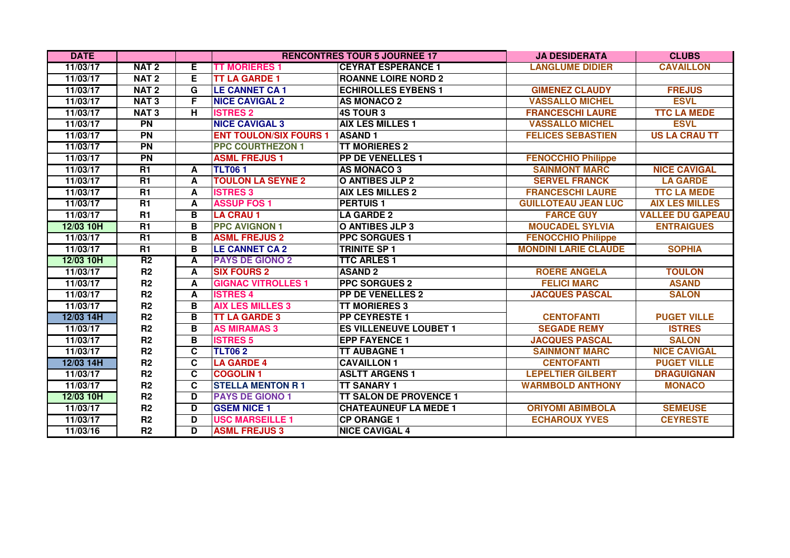| <b>DATE</b> |                  |    |                               | <b>RENCONTRES TOUR 5 JOURNEE 17</b> | <b>JA DESIDERATA</b>        | <b>CLUBS</b>            |
|-------------|------------------|----|-------------------------------|-------------------------------------|-----------------------------|-------------------------|
| 11/03/17    | NAT <sub>2</sub> | E. | <b>TT MORIERES 1</b>          | <b>CEYRAT ESPERANCE 1</b>           | <b>LANGLUME DIDIER</b>      | <b>CAVAILLON</b>        |
| 11/03/17    | NAT <sub>2</sub> | Е  | <b>TT LA GARDE 1</b>          | <b>ROANNE LOIRE NORD 2</b>          |                             |                         |
| 11/03/17    | NAT <sub>2</sub> | G  | <b>LE CANNET CA1</b>          | <b>ECHIROLLES EYBENS 1</b>          | <b>GIMENEZ CLAUDY</b>       | <b>FREJUS</b>           |
| 11/03/17    | <b>NAT3</b>      | F  | <b>NICE CAVIGAL 2</b>         | <b>AS MONACO 2</b>                  | <b>VASSALLO MICHEL</b>      | <b>ESVL</b>             |
| 11/03/17    | <b>NAT3</b>      | н  | <b>ISTRES 2</b>               | <b>4S TOUR 3</b>                    | <b>FRANCESCHI LAURE</b>     | <b>TTC LA MEDE</b>      |
| 11/03/17    | <b>PN</b>        |    | <b>NICE CAVIGAL 3</b>         | <b>AIX LES MILLES 1</b>             | <b>VASSALLO MICHEL</b>      | <b>ESVL</b>             |
| 11/03/17    | <b>PN</b>        |    | <b>ENT TOULON/SIX FOURS 1</b> | <b>ASAND1</b>                       | <b>FELICES SEBASTIEN</b>    | <b>US LA CRAU TT</b>    |
| 11/03/17    | PN               |    | <b>PPC COURTHEZON 1</b>       | <b>TT MORIERES 2</b>                |                             |                         |
| 11/03/17    | <b>PN</b>        |    | <b>ASML FREJUS1</b>           | <b>PP DE VENELLES 1</b>             | <b>FENOCCHIO Philippe</b>   |                         |
| 11/03/17    | R1               | A  | <b>TLT061</b>                 | <b>AS MONACO 3</b>                  | <b>SAINMONT MARC</b>        | <b>NICE CAVIGAL</b>     |
| 11/03/17    | <b>R1</b>        | A  | <b>TOULON LA SEYNE 2</b>      | <b>O ANTIBES JLP 2</b>              | <b>SERVEL FRANCK</b>        | <b>LA GARDE</b>         |
| 11/03/17    | <b>R1</b>        | A  | <b>ISTRES 3</b>               | <b>AIX LES MILLES 2</b>             | <b>FRANCESCHI LAURE</b>     | <b>TTC LA MEDE</b>      |
| 11/03/17    | R1               | A  | <b>ASSUP FOS 1</b>            | <b>PERTUIS1</b>                     | <b>GUILLOTEAU JEAN LUC</b>  | <b>AIX LES MILLES</b>   |
| 11/03/17    | R1               | в  | <b>LA CRAU 1</b>              | <b>LA GARDE 2</b>                   | <b>FARCE GUY</b>            | <b>VALLEE DU GAPEAU</b> |
| 12/03 10H   | R1               | в  | <b>PPC AVIGNON 1</b>          | <b>O ANTIBES JLP 3</b>              | <b>MOUCADEL SYLVIA</b>      | <b>ENTRAIGUES</b>       |
| 11/03/17    | R1               | В  | <b>ASML FREJUS 2</b>          | <b>PPC SORGUES 1</b>                | <b>FENOCCHIO Philippe</b>   |                         |
| 11/03/17    | R1               | в  | <b>LE CANNET CA 2</b>         | <b>TRINITE SP 1</b>                 | <b>MONDINI LARIE CLAUDE</b> | <b>SOPHIA</b>           |
| 12/03 10H   | R <sub>2</sub>   | A  | <b>PAYS DE GIONO 2</b>        | <b>TTC ARLES 1</b>                  |                             |                         |
| 11/03/17    | R2               | A  | <b>SIX FOURS 2</b>            | <b>ASAND 2</b>                      | <b>ROERE ANGELA</b>         | <b>TOULON</b>           |
| 11/03/17    | R <sub>2</sub>   | A  | <b>GIGNAC VITROLLES 1</b>     | <b>PPC SORGUES 2</b>                | <b>FELICI MARC</b>          | <b>ASAND</b>            |
| 11/03/17    | R <sub>2</sub>   | A  | <b>ISTRES 4</b>               | <b>PP DE VENELLES 2</b>             | <b>JACQUES PASCAL</b>       | <b>SALON</b>            |
| 11/03/17    | R <sub>2</sub>   | B  | <b>AIX LES MILLES 3</b>       | <b>TT MORIERES 3</b>                |                             |                         |
| 12/03 14H   | R <sub>2</sub>   | В  | <b>TT LA GARDE 3</b>          | PP CEYRESTE 1                       | <b>CENTOFANTI</b>           | <b>PUGET VILLE</b>      |
| 11/03/17    | R <sub>2</sub>   | в  | <b>AS MIRAMAS 3</b>           | <b>ES VILLENEUVE LOUBET 1</b>       | <b>SEGADE REMY</b>          | <b>ISTRES</b>           |
| 11/03/17    | R2               | В  | <b>ISTRES 5</b>               | <b>EPP FAYENCE 1</b>                | <b>JACQUES PASCAL</b>       | <b>SALON</b>            |
| 11/03/17    | R <sub>2</sub>   | C  | <b>TLT062</b>                 | <b>TT AUBAGNE 1</b>                 | <b>SAINMONT MARC</b>        | <b>NICE CAVIGAL</b>     |
| 12/03 14H   | R <sub>2</sub>   | C  | <b>LA GARDE 4</b>             | <b>CAVAILLON 1</b>                  | <b>CENTOFANTI</b>           | <b>PUGET VILLE</b>      |
| 11/03/17    | R <sub>2</sub>   | C  | <b>COGOLIN1</b>               | <b>ASLTT ARGENS 1</b>               | <b>LEPELTIER GILBERT</b>    | <b>DRAGUIGNAN</b>       |
| 11/03/17    | R <sub>2</sub>   | C  | <b>STELLA MENTON R 1</b>      | <b>TT SANARY 1</b>                  | <b>WARMBOLD ANTHONY</b>     | <b>MONACO</b>           |
| 12/03 10H   | R <sub>2</sub>   | D  | <b>PAYS DE GIONO 1</b>        | <b>TT SALON DE PROVENCE 1</b>       |                             |                         |
| 11/03/17    | R <sub>2</sub>   | D  | <b>GSEM NICE 1</b>            | <b>CHATEAUNEUF LA MEDE 1</b>        | <b>ORIYOMI ABIMBOLA</b>     | <b>SEMEUSE</b>          |
| 11/03/17    | R <sub>2</sub>   | D  | <b>USC MARSEILLE 1</b>        | <b>CP ORANGE 1</b>                  | <b>ECHAROUX YVES</b>        | <b>CEYRESTE</b>         |
| 11/03/16    | R <sub>2</sub>   | D  | <b>ASML FREJUS 3</b>          | <b>NICE CAVIGAL 4</b>               |                             |                         |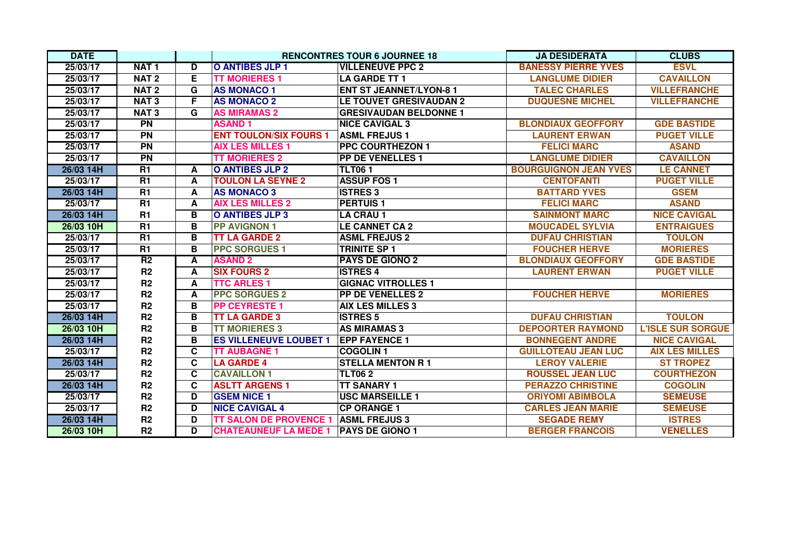| <b>DATE</b> |                  |    |                               | <b>RENCONTRES TOUR 6 JOURNEE 18</b> | <b>JA DESIDERATA</b>         | <b>CLUBS</b>             |
|-------------|------------------|----|-------------------------------|-------------------------------------|------------------------------|--------------------------|
| 25/03/17    | NAT <sub>1</sub> | D  | <b>O ANTIBES JLP 1</b>        | <b>VILLENEUVE PPC 2</b>             | <b>BANESSY PIERRE YVES</b>   | <b>ESVL</b>              |
| 25/03/17    | NAT <sub>2</sub> | Е  | <b>TT MORIERES 1</b>          | <b>LA GARDE TT 1</b>                | <b>LANGLUME DIDIER</b>       | <b>CAVAILLON</b>         |
| 25/03/17    | NAT <sub>2</sub> | G  | <b>AS MONACO 1</b>            | <b>ENT ST JEANNET/LYON-8 1</b>      | <b>TALEC CHARLES</b>         | <b>VILLEFRANCHE</b>      |
| 25/03/17    | <b>NAT3</b>      | F. | <b>AS MONACO 2</b>            | LE TOUVET GRESIVAUDAN 2             | <b>DUQUESNE MICHEL</b>       | <b>VILLEFRANCHE</b>      |
| 25/03/17    | <b>NAT3</b>      | G  | <b>AS MIRAMAS 2</b>           | <b>GRESIVAUDAN BELDONNE 1</b>       |                              |                          |
| 25/03/17    | <b>PN</b>        |    | <b>ASAND1</b>                 | <b>NICE CAVIGAL 3</b>               | <b>BLONDIAUX GEOFFORY</b>    | <b>GDE BASTIDE</b>       |
| 25/03/17    | $\overline{PN}$  |    | <b>ENT TOULON/SIX FOURS 1</b> | <b>ASML FREJUS1</b>                 | <b>LAURENT ERWAN</b>         | <b>PUGET VILLE</b>       |
| 25/03/17    | PN               |    | <b>AIX LES MILLES 1</b>       | <b>PPC COURTHEZON 1</b>             | <b>FELICI MARC</b>           | <b>ASAND</b>             |
| 25/03/17    | <b>PN</b>        |    | <b>TT MORIERES 2</b>          | <b>PP DE VENELLES 1</b>             | <b>LANGLUME DIDIER</b>       | <b>CAVAILLON</b>         |
| 26/03 14H   | R1               | A  | <b>O ANTIBES JLP 2</b>        | <b>TLT061</b>                       | <b>BOURGUIGNON JEAN YVES</b> | <b>LE CANNET</b>         |
| 25/03/17    | R1               | A  | <b>TOULON LA SEYNE 2</b>      | <b>ASSUP FOS 1</b>                  | <b>CENTOFANTI</b>            | <b>PUGET VILLE</b>       |
| 26/03 14H   | R1               | A  | <b>AS MONACO 3</b>            | <b>ISTRES 3</b>                     | <b>BATTARD YVES</b>          | <b>GSEM</b>              |
| 25/03/17    | R1               | A  | <b>AIX LES MILLES 2</b>       | <b>PERTUIS1</b>                     | <b>FELICI MARC</b>           | <b>ASAND</b>             |
| 26/03 14H   | R1               | В  | O ANTIBES JLP 3               | <b>LA CRAU 1</b>                    | <b>SAINMONT MARC</b>         | <b>NICE CAVIGAL</b>      |
| 26/03 10H   | R1               | в  | <b>PP AVIGNON 1</b>           | <b>LE CANNET CA 2</b>               | <b>MOUCADEL SYLVIA</b>       | <b>ENTRAIGUES</b>        |
| 25/03/17    | $\overline{R1}$  | в  | <b>TT LA GARDE 2</b>          | <b>ASML FREJUS 2</b>                | <b>DUFAU CHRISTIAN</b>       | <b>TOULON</b>            |
| 25/03/17    | <b>R1</b>        | в  | <b>PPC SORGUES 1</b>          | <b>TRINITE SP 1</b>                 | <b>FOUCHER HERVE</b>         | <b>MORIERES</b>          |
| 25/03/17    | R <sub>2</sub>   | A  | <b>ASAND 2</b>                | <b>PAYS DE GIONO 2</b>              | <b>BLONDIAUX GEOFFORY</b>    | <b>GDE BASTIDE</b>       |
| 25/03/17    | R2               | A  | <b>SIX FOURS 2</b>            | <b>ISTRES 4</b>                     | <b>LAURENT ERWAN</b>         | <b>PUGET VILLE</b>       |
| 25/03/17    | R <sub>2</sub>   | A  | <b>TTC ARLES 1</b>            | <b>GIGNAC VITROLLES 1</b>           |                              |                          |
| 25/03/17    | R <sub>2</sub>   | A  | <b>PPC SORGUES 2</b>          | <b>PP DE VENELLES 2</b>             | <b>FOUCHER HERVE</b>         | <b>MORIERES</b>          |
| 25/03/17    | R2               | B  | <b>PP CEYRESTE 1</b>          | <b>AIX LES MILLES 3</b>             |                              |                          |
| 26/03 14H   | R <sub>2</sub>   | B  | <b>TT LA GARDE 3</b>          | <b>ISTRES 5</b>                     | <b>DUFAU CHRISTIAN</b>       | <b>TOULON</b>            |
| 26/03 10H   | R <sub>2</sub>   | В  | <b>TT MORIERES 3</b>          | <b>AS MIRAMAS 3</b>                 | <b>DEPOORTER RAYMOND</b>     | <b>L'ISLE SUR SORGUE</b> |
| 26/03 14H   | R <sub>2</sub>   | В  | <b>ES VILLENEUVE LOUBET 1</b> | <b>EPP FAYENCE 1</b>                | <b>BONNEGENT ANDRE</b>       | <b>NICE CAVIGAL</b>      |
| 25/03/17    | R <sub>2</sub>   | C  | <b>TT AUBAGNE 1</b>           | <b>COGOLIN1</b>                     | <b>GUILLOTEAU JEAN LUC</b>   | <b>AIX LES MILLES</b>    |
| 26/03 14H   | R2               | C  | <b>LA GARDE 4</b>             | <b>STELLA MENTON R1</b>             | <b>LEROY VALERIE</b>         | <b>ST TROPEZ</b>         |
| 25/03/17    | R2               | C  | <b>CAVAILLON 1</b>            | <b>TLT062</b>                       | <b>ROUSSEL JEAN LUC</b>      | <b>COURTHEZON</b>        |
| 26/03 14H   | R2               | C  | <b>ASLTT ARGENS 1</b>         | <b>TT SANARY 1</b>                  | <b>PERAZZO CHRISTINE</b>     | <b>COGOLIN</b>           |
| 25/03/17    | R <sub>2</sub>   | D  | <b>GSEM NICE 1</b>            | <b>USC MARSEILLE 1</b>              | <b>ORIYOMI ABIMBOLA</b>      | <b>SEMEUSE</b>           |
| 25/03/17    | R <sub>2</sub>   | D  | <b>NICE CAVIGAL 4</b>         | <b>CP ORANGE 1</b>                  | <b>CARLES JEAN MARIE</b>     | <b>SEMEUSE</b>           |
| 26/03 14H   | R <sub>2</sub>   | D  | <b>TT SALON DE PROVENCE 1</b> | <b>ASML FREJUS 3</b>                | <b>SEGADE REMY</b>           | <b>ISTRES</b>            |
| 26/03 10H   | R2               | D  | <b>CHATEAUNEUF LA MEDE 1</b>  | <b>PAYS DE GIONO 1</b>              | <b>BERGER FRANCOIS</b>       | <b>VENELLES</b>          |